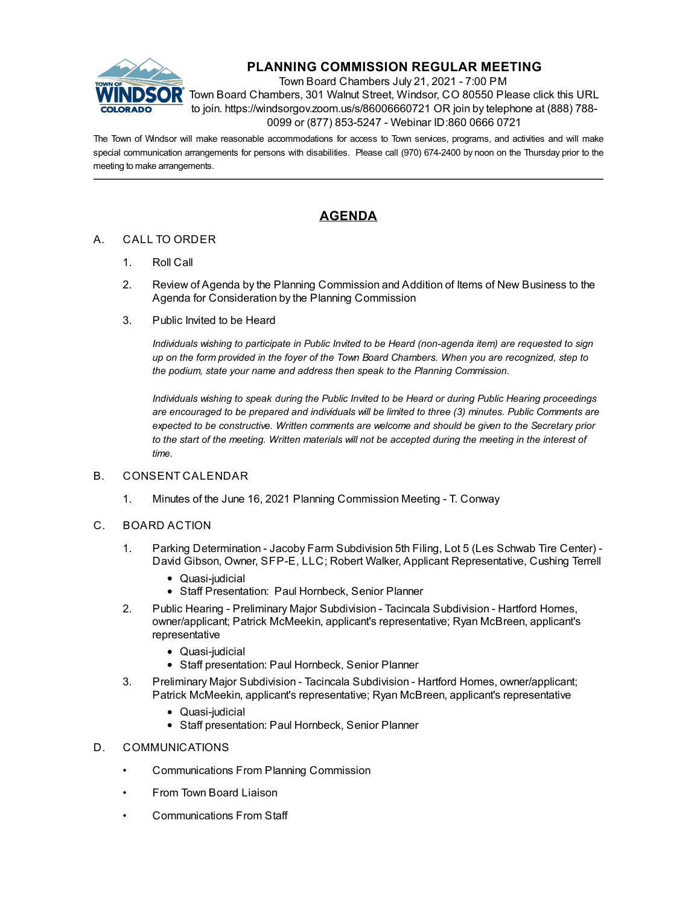

# **PLANNING COMMISSION REGULAR MEETING**

Town Board Chambers July 21, 2021 - 7:00 PM Town Board Chambers, 301 Walnut Street, Windsor, CO 80550 Please click this URL to join. https://windsorgov.zoom.us/s/86006660721 OR join by telephone at (888) 788- 0099 or (877) 853-5247 - Webinar ID:860 0666 0721

The Town of Windsor will make reasonable accommodations for access to Town services, programs, and activities and will make special communication arrangements for persons with disabilities. Please call (970) 674-2400 by noon on the Thursday prior to the meeting to make arrangements.

## **AGENDA**

### A. CALL TO ORDER

- 1. Roll Call
- 2. Review of Agenda by the Planning Commission and Addition of Items of New Business to the Agenda for Consideration by the Planning Commission
- 3. Public Invited to be Heard

*Individuals wishing to participate in Public Invited to be Heard (non-agenda item) are requested to sign* up on the form provided in the foyer of the Town Board Chambers. When you are recognized, step to *the podium, state your name and address then speak to the Planning Commission.*

*Individuals wishing to speak during the Public Invited to be Heard or during Public Hearing proceedings are encouraged to be prepared and individuals will be limited to three (3) minutes. Public Comments are expected to be constructive. Written comments are welcome and should be given to the Secretary prior* to the start of the meeting. Written materials will not be accepted during the meeting in the interest of *time.*

#### B. CONSENT CALENDAR

1. Minutes of the June 16, 2021 Planning [Commission](file:///C:/Windows/TEMP/CoverSheet.aspx?ItemID=1546&MeetingID=241) Meeting - T. Conway

#### C. BOARD ACTION

- 1. Parking Determination Jacoby Farm Subdivision 5th Filing, Lot 5 (Les Schwab Tire Center) David Gibson, Owner, SFP-E, LLC; Robert Walker, Applicant [Representative,](file:///C:/Windows/TEMP/CoverSheet.aspx?ItemID=1531&MeetingID=241) Cushing Terrell
	- Quasi-judicial
	- Staff Presentation: Paul Hornbeck, Senior Planner
- 2. Public Hearing Preliminary Major Subdivision Tacincala Subdivision Hartford Homes, [owner/applicant;](file:///C:/Windows/TEMP/CoverSheet.aspx?ItemID=1542&MeetingID=241) Patrick McMeekin, applicant's representative; Ryan McBreen, applicant's representative
	- Quasi-judicial
	- Staff presentation: Paul Hornbeck, Senior Planner
- 3. Preliminary Major Subdivision Tacincala Subdivision Hartford Homes, [owner/applicant;](file:///C:/Windows/TEMP/CoverSheet.aspx?ItemID=1543&MeetingID=241) Patrick McMeekin, applicant's representative; Ryan McBreen, applicant's representative
	- Quasi-judicial
	- Staff presentation: Paul Hornbeck, Senior Planner

#### D. COMMUNICATIONS

- Communications From Planning Commission
- From Town Board Liaison
- Communications From Staff